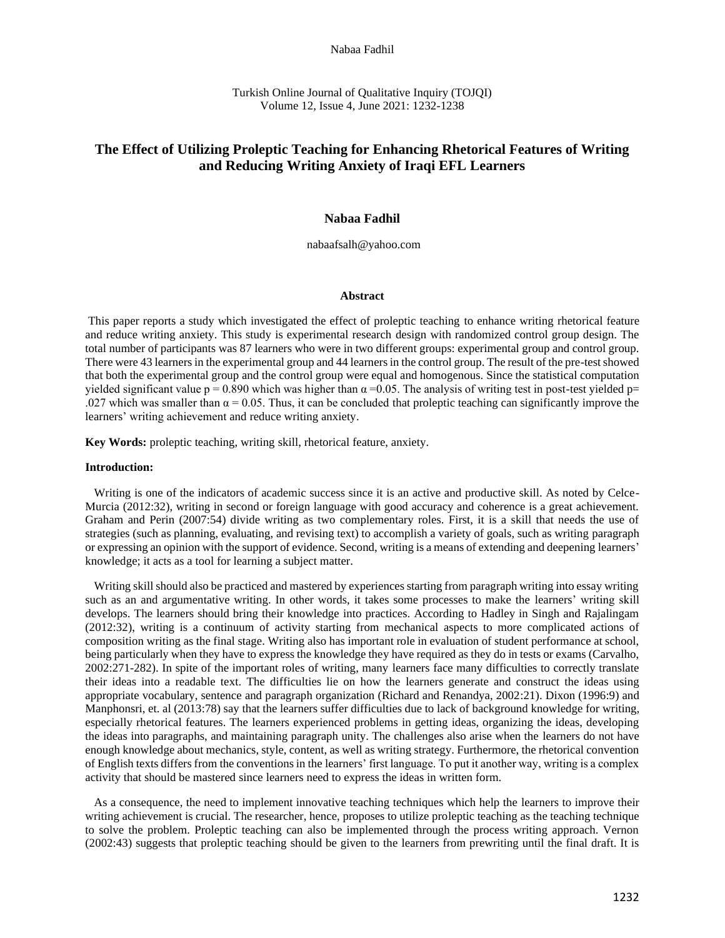#### Nabaa Fadhil

Turkish Online Journal of Qualitative Inquiry (TOJQI) Volume 12, Issue 4, June 2021: 1232-1238

# **The Effect of Utilizing Proleptic Teaching for Enhancing Rhetorical Features of Writing and Reducing Writing Anxiety of Iraqi EFL Learners**

### **Nabaa Fadhil**

nabaafsalh@yahoo.com

### **Abstract**

This paper reports a study which investigated the effect of proleptic teaching to enhance writing rhetorical feature and reduce writing anxiety. This study is experimental research design with randomized control group design. The total number of participants was 87 learners who were in two different groups: experimental group and control group. There were 43 learnersin the experimental group and 44 learnersin the control group. The result of the pre-test showed that both the experimental group and the control group were equal and homogenous. Since the statistical computation yielded significant value  $p = 0.890$  which was higher than  $\alpha = 0.05$ . The analysis of writing test in post-test yielded p= .027 which was smaller than  $\alpha = 0.05$ . Thus, it can be concluded that proleptic teaching can significantly improve the learners' writing achievement and reduce writing anxiety.

**Key Words:** proleptic teaching, writing skill, rhetorical feature, anxiety.

### **Introduction:**

 Writing is one of the indicators of academic success since it is an active and productive skill. As noted by Celce-Murcia (2012:32), writing in second or foreign language with good accuracy and coherence is a great achievement. Graham and Perin (2007:54) divide writing as two complementary roles. First, it is a skill that needs the use of strategies (such as planning, evaluating, and revising text) to accomplish a variety of goals, such as writing paragraph or expressing an opinion with the support of evidence. Second, writing is a means of extending and deepening learners' knowledge; it acts as a tool for learning a subject matter.

 Writing skill should also be practiced and mastered by experiences starting from paragraph writing into essay writing such as an and argumentative writing. In other words, it takes some processes to make the learners' writing skill develops. The learners should bring their knowledge into practices. According to Hadley in Singh and Rajalingam (2012:32), writing is a continuum of activity starting from mechanical aspects to more complicated actions of composition writing as the final stage. Writing also has important role in evaluation of student performance at school, being particularly when they have to express the knowledge they have required as they do in tests or exams (Carvalho, 2002:271-282). In spite of the important roles of writing, many learners face many difficulties to correctly translate their ideas into a readable text. The difficulties lie on how the learners generate and construct the ideas using appropriate vocabulary, sentence and paragraph organization (Richard and Renandya, 2002:21). Dixon (1996:9) and Manphonsri, et. al (2013:78) say that the learners suffer difficulties due to lack of background knowledge for writing, especially rhetorical features. The learners experienced problems in getting ideas, organizing the ideas, developing the ideas into paragraphs, and maintaining paragraph unity. The challenges also arise when the learners do not have enough knowledge about mechanics, style, content, as well as writing strategy. Furthermore, the rhetorical convention of English texts differs from the conventions in the learners' first language. To put it another way, writing is a complex activity that should be mastered since learners need to express the ideas in written form.

 As a consequence, the need to implement innovative teaching techniques which help the learners to improve their writing achievement is crucial. The researcher, hence, proposes to utilize proleptic teaching as the teaching technique to solve the problem. Proleptic teaching can also be implemented through the process writing approach. Vernon (2002:43) suggests that proleptic teaching should be given to the learners from prewriting until the final draft. It is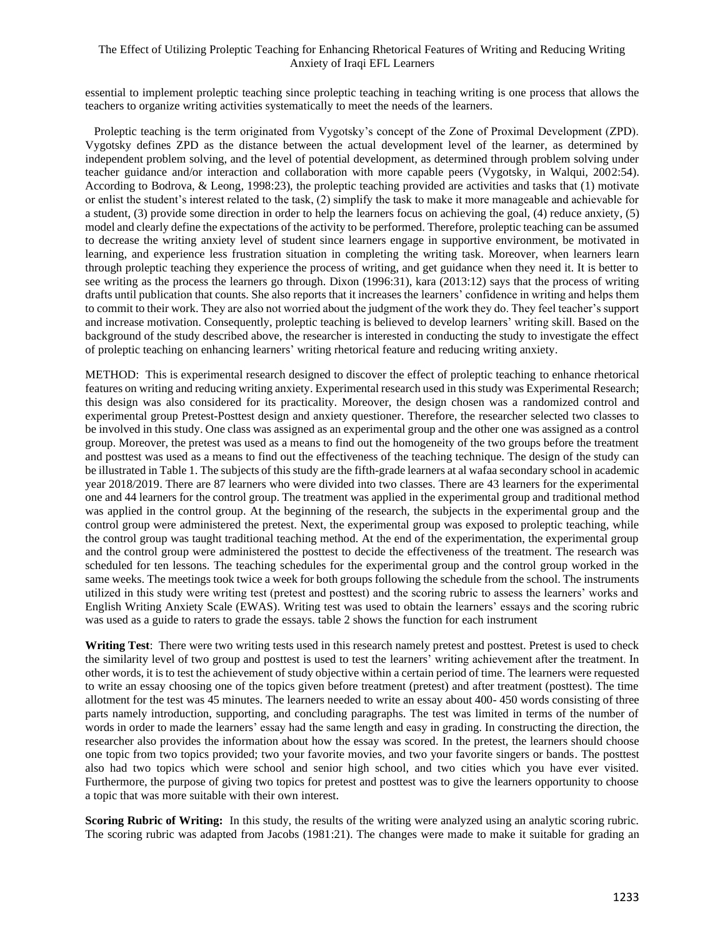# The Effect of Utilizing Proleptic Teaching for Enhancing Rhetorical Features of Writing and Reducing Writing Anxiety of Iraqi EFL Learners

essential to implement proleptic teaching since proleptic teaching in teaching writing is one process that allows the teachers to organize writing activities systematically to meet the needs of the learners.

 Proleptic teaching is the term originated from Vygotsky's concept of the Zone of Proximal Development (ZPD). Vygotsky defines ZPD as the distance between the actual development level of the learner, as determined by independent problem solving, and the level of potential development, as determined through problem solving under teacher guidance and/or interaction and collaboration with more capable peers (Vygotsky, in Walqui, 2002:54). According to Bodrova, & Leong, 1998:23), the proleptic teaching provided are activities and tasks that (1) motivate or enlist the student's interest related to the task, (2) simplify the task to make it more manageable and achievable for a student, (3) provide some direction in order to help the learners focus on achieving the goal, (4) reduce anxiety, (5) model and clearly define the expectations of the activity to be performed. Therefore, proleptic teaching can be assumed to decrease the writing anxiety level of student since learners engage in supportive environment, be motivated in learning, and experience less frustration situation in completing the writing task. Moreover, when learners learn through proleptic teaching they experience the process of writing, and get guidance when they need it. It is better to see writing as the process the learners go through. Dixon (1996:31), kara (2013:12) says that the process of writing drafts until publication that counts. She also reports that it increases the learners' confidence in writing and helps them to commit to their work. They are also not worried about the judgment of the work they do. They feel teacher's support and increase motivation. Consequently, proleptic teaching is believed to develop learners' writing skill. Based on the background of the study described above, the researcher is interested in conducting the study to investigate the effect of proleptic teaching on enhancing learners' writing rhetorical feature and reducing writing anxiety.

METHOD: This is experimental research designed to discover the effect of proleptic teaching to enhance rhetorical features on writing and reducing writing anxiety. Experimental research used in this study was Experimental Research; this design was also considered for its practicality. Moreover, the design chosen was a randomized control and experimental group Pretest-Posttest design and anxiety questioner. Therefore, the researcher selected two classes to be involved in this study. One class was assigned as an experimental group and the other one was assigned as a control group. Moreover, the pretest was used as a means to find out the homogeneity of the two groups before the treatment and posttest was used as a means to find out the effectiveness of the teaching technique. The design of the study can be illustrated in Table 1. The subjects of this study are the fifth-grade learners at al wafaa secondary school in academic year 2018/2019. There are 87 learners who were divided into two classes. There are 43 learners for the experimental one and 44 learners for the control group. The treatment was applied in the experimental group and traditional method was applied in the control group. At the beginning of the research, the subjects in the experimental group and the control group were administered the pretest. Next, the experimental group was exposed to proleptic teaching, while the control group was taught traditional teaching method. At the end of the experimentation, the experimental group and the control group were administered the posttest to decide the effectiveness of the treatment. The research was scheduled for ten lessons. The teaching schedules for the experimental group and the control group worked in the same weeks. The meetings took twice a week for both groups following the schedule from the school. The instruments utilized in this study were writing test (pretest and posttest) and the scoring rubric to assess the learners' works and English Writing Anxiety Scale (EWAS). Writing test was used to obtain the learners' essays and the scoring rubric was used as a guide to raters to grade the essays. table 2 shows the function for each instrument

**Writing Test**: There were two writing tests used in this research namely pretest and posttest. Pretest is used to check the similarity level of two group and posttest is used to test the learners' writing achievement after the treatment. In other words, it is to test the achievement of study objective within a certain period of time. The learners were requested to write an essay choosing one of the topics given before treatment (pretest) and after treatment (posttest). The time allotment for the test was 45 minutes. The learners needed to write an essay about 400- 450 words consisting of three parts namely introduction, supporting, and concluding paragraphs. The test was limited in terms of the number of words in order to made the learners' essay had the same length and easy in grading. In constructing the direction, the researcher also provides the information about how the essay was scored. In the pretest, the learners should choose one topic from two topics provided; two your favorite movies, and two your favorite singers or bands. The posttest also had two topics which were school and senior high school, and two cities which you have ever visited. Furthermore, the purpose of giving two topics for pretest and posttest was to give the learners opportunity to choose a topic that was more suitable with their own interest.

**Scoring Rubric of Writing:** In this study, the results of the writing were analyzed using an analytic scoring rubric. The scoring rubric was adapted from Jacobs (1981:21). The changes were made to make it suitable for grading an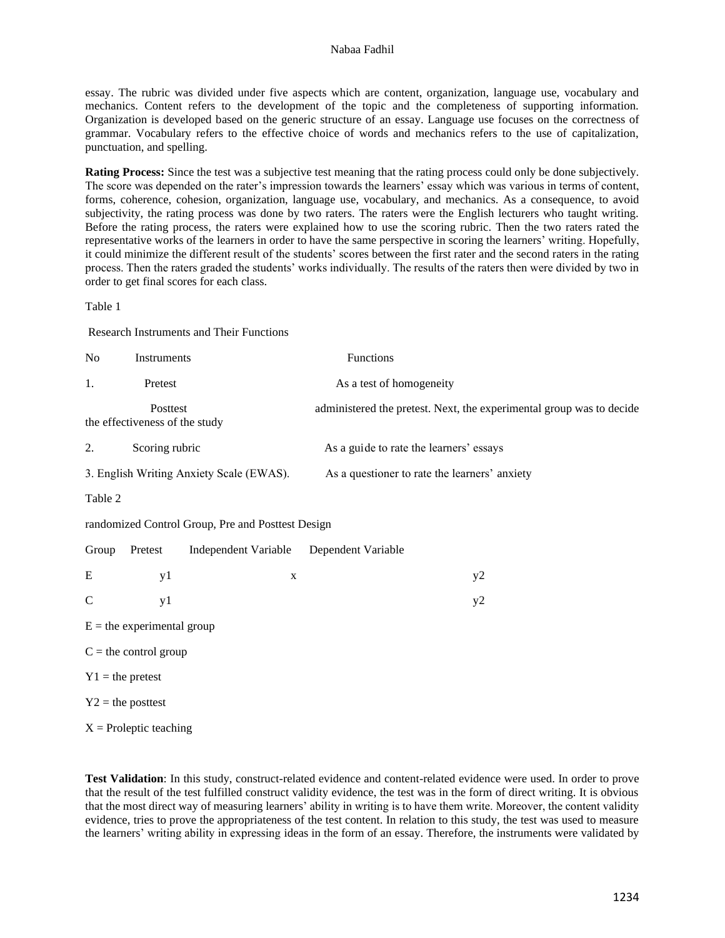### Nabaa Fadhil

essay. The rubric was divided under five aspects which are content, organization, language use, vocabulary and mechanics. Content refers to the development of the topic and the completeness of supporting information. Organization is developed based on the generic structure of an essay. Language use focuses on the correctness of grammar. Vocabulary refers to the effective choice of words and mechanics refers to the use of capitalization, punctuation, and spelling.

**Rating Process:** Since the test was a subjective test meaning that the rating process could only be done subjectively. The score was depended on the rater's impression towards the learners' essay which was various in terms of content, forms, coherence, cohesion, organization, language use, vocabulary, and mechanics. As a consequence, to avoid subjectivity, the rating process was done by two raters. The raters were the English lecturers who taught writing. Before the rating process, the raters were explained how to use the scoring rubric. Then the two raters rated the representative works of the learners in order to have the same perspective in scoring the learners' writing. Hopefully, it could minimize the different result of the students' scores between the first rater and the second raters in the rating process. Then the raters graded the students' works individually. The results of the raters then were divided by two in order to get final scores for each class.

Table 1

 $X =$ Proleptic teaching

Research Instruments and Their Functions

| N <sub>o</sub>                                    | Instruments                                |                                          | Functions                                                            |  |  |  |  |  |  |
|---------------------------------------------------|--------------------------------------------|------------------------------------------|----------------------------------------------------------------------|--|--|--|--|--|--|
| 1.                                                | Pretest                                    |                                          | As a test of homogeneity                                             |  |  |  |  |  |  |
|                                                   | Posttest<br>the effectiveness of the study |                                          | administered the pretest. Next, the experimental group was to decide |  |  |  |  |  |  |
| 2.                                                | Scoring rubric                             |                                          | As a guide to rate the learners' essays                              |  |  |  |  |  |  |
|                                                   |                                            | 3. English Writing Anxiety Scale (EWAS). | As a questioner to rate the learners' anxiety                        |  |  |  |  |  |  |
| Table 2                                           |                                            |                                          |                                                                      |  |  |  |  |  |  |
| randomized Control Group, Pre and Posttest Design |                                            |                                          |                                                                      |  |  |  |  |  |  |
| Group                                             | Pretest                                    | Independent Variable                     | Dependent Variable                                                   |  |  |  |  |  |  |
| Ε                                                 | y1                                         | $\mathbf X$                              | y2                                                                   |  |  |  |  |  |  |
| $\mathcal{C}$                                     | y1                                         |                                          | y2                                                                   |  |  |  |  |  |  |
| $E =$ the experimental group                      |                                            |                                          |                                                                      |  |  |  |  |  |  |
| $C =$ the control group                           |                                            |                                          |                                                                      |  |  |  |  |  |  |
| $Y1$ = the pretest                                |                                            |                                          |                                                                      |  |  |  |  |  |  |
| $Y2$ = the posttest                               |                                            |                                          |                                                                      |  |  |  |  |  |  |
|                                                   |                                            |                                          |                                                                      |  |  |  |  |  |  |

**Test Validation**: In this study, construct-related evidence and content-related evidence were used. In order to prove that the result of the test fulfilled construct validity evidence, the test was in the form of direct writing. It is obvious that the most direct way of measuring learners' ability in writing is to have them write. Moreover, the content validity evidence, tries to prove the appropriateness of the test content. In relation to this study, the test was used to measure the learners' writing ability in expressing ideas in the form of an essay. Therefore, the instruments were validated by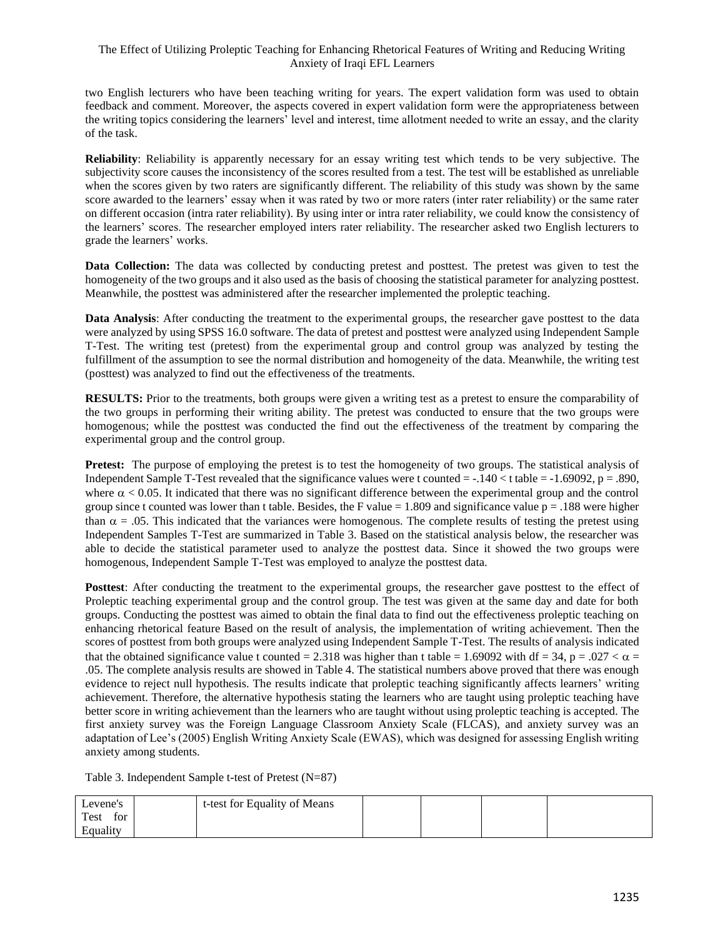# The Effect of Utilizing Proleptic Teaching for Enhancing Rhetorical Features of Writing and Reducing Writing Anxiety of Iraqi EFL Learners

two English lecturers who have been teaching writing for years. The expert validation form was used to obtain feedback and comment. Moreover, the aspects covered in expert validation form were the appropriateness between the writing topics considering the learners' level and interest, time allotment needed to write an essay, and the clarity of the task.

**Reliability**: Reliability is apparently necessary for an essay writing test which tends to be very subjective. The subjectivity score causes the inconsistency of the scores resulted from a test. The test will be established as unreliable when the scores given by two raters are significantly different. The reliability of this study was shown by the same score awarded to the learners' essay when it was rated by two or more raters (inter rater reliability) or the same rater on different occasion (intra rater reliability). By using inter or intra rater reliability, we could know the consistency of the learners' scores. The researcher employed inters rater reliability. The researcher asked two English lecturers to grade the learners' works.

**Data Collection:** The data was collected by conducting pretest and posttest. The pretest was given to test the homogeneity of the two groups and it also used as the basis of choosing the statistical parameter for analyzing posttest. Meanwhile, the posttest was administered after the researcher implemented the proleptic teaching.

**Data Analysis**: After conducting the treatment to the experimental groups, the researcher gave posttest to the data were analyzed by using SPSS 16.0 software. The data of pretest and posttest were analyzed using Independent Sample T-Test. The writing test (pretest) from the experimental group and control group was analyzed by testing the fulfillment of the assumption to see the normal distribution and homogeneity of the data. Meanwhile, the writing test (posttest) was analyzed to find out the effectiveness of the treatments.

**RESULTS:** Prior to the treatments, both groups were given a writing test as a pretest to ensure the comparability of the two groups in performing their writing ability. The pretest was conducted to ensure that the two groups were homogenous; while the posttest was conducted the find out the effectiveness of the treatment by comparing the experimental group and the control group.

**Pretest:** The purpose of employing the pretest is to test the homogeneity of two groups. The statistical analysis of Independent Sample T-Test revealed that the significance values were t counted  $= -.140 <$  t table  $= -1.69092$ , p  $= .890$ , where  $\alpha$  < 0.05. It indicated that there was no significant difference between the experimental group and the control group since t counted was lower than t table. Besides, the F value  $= 1.809$  and significance value  $p = .188$  were higher than  $\alpha = 0.05$ . This indicated that the variances were homogenous. The complete results of testing the pretest using Independent Samples T-Test are summarized in Table 3. Based on the statistical analysis below, the researcher was able to decide the statistical parameter used to analyze the posttest data. Since it showed the two groups were homogenous, Independent Sample T-Test was employed to analyze the posttest data.

**Posttest**: After conducting the treatment to the experimental groups, the researcher gave posttest to the effect of Proleptic teaching experimental group and the control group. The test was given at the same day and date for both groups. Conducting the posttest was aimed to obtain the final data to find out the effectiveness proleptic teaching on enhancing rhetorical feature Based on the result of analysis, the implementation of writing achievement. Then the scores of posttest from both groups were analyzed using Independent Sample T-Test. The results of analysis indicated that the obtained significance value t counted = 2.318 was higher than t table = 1.69092 with df = 34, p = .027  $\lt \alpha$  = .05. The complete analysis results are showed in Table 4. The statistical numbers above proved that there was enough evidence to reject null hypothesis. The results indicate that proleptic teaching significantly affects learners' writing achievement. Therefore, the alternative hypothesis stating the learners who are taught using proleptic teaching have better score in writing achievement than the learners who are taught without using proleptic teaching is accepted. The first anxiety survey was the Foreign Language Classroom Anxiety Scale (FLCAS), and anxiety survey was an adaptation of Lee's (2005) English Writing Anxiety Scale (EWAS), which was designed for assessing English writing anxiety among students.

Table 3. Independent Sample t-test of Pretest (N=87)

| Levene's    | t-test for Equality of Means |  |  |
|-------------|------------------------------|--|--|
| Test<br>for |                              |  |  |
| Equality    |                              |  |  |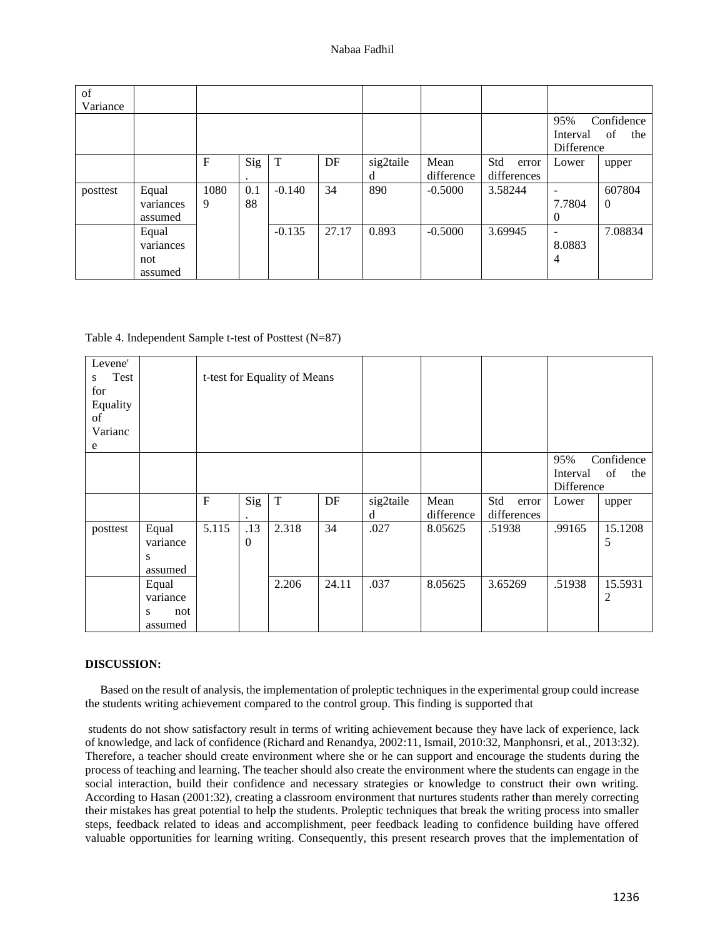| of<br>Variance |                                      |           |           |          |       |                |                    |                             |                                                          |                          |
|----------------|--------------------------------------|-----------|-----------|----------|-------|----------------|--------------------|-----------------------------|----------------------------------------------------------|--------------------------|
|                |                                      |           |           |          |       |                |                    |                             | 95%<br>Confidence<br>of<br>the<br>Interval<br>Difference |                          |
|                |                                      | F         | Sig<br>٠  | T        | DF    | sig2taile<br>d | Mean<br>difference | Std<br>error<br>differences | Lower                                                    | upper                    |
| posttest       | Equal<br>variances<br>assumed        | 1080<br>9 | 0.1<br>88 | $-0.140$ | 34    | 890            | $-0.5000$          | 3.58244                     | -<br>7.7804<br>$\boldsymbol{0}$                          | 607804<br>$\overline{0}$ |
|                | Equal<br>variances<br>not<br>assumed |           |           | $-0.135$ | 27.17 | 0.893          | $-0.5000$          | 3.69945                     | ۰<br>8.0883<br>4                                         | 7.08834                  |

Table 4. Independent Sample t-test of Posttest (N=87)

| Levene'<br>Test<br>S<br>for<br>Equality<br>of<br>Varianc<br>e |                                          |             |                 | t-test for Equality of Means |       |                |                    |                             |                               |                         |
|---------------------------------------------------------------|------------------------------------------|-------------|-----------------|------------------------------|-------|----------------|--------------------|-----------------------------|-------------------------------|-------------------------|
|                                                               |                                          |             |                 |                              |       |                |                    |                             | 95%<br>Interval<br>Difference | Confidence<br>of<br>the |
|                                                               |                                          | $\mathbf F$ | Sig             | $\mathbf T$                  | DF    | sig2taile<br>d | Mean<br>difference | Std<br>error<br>differences | Lower                         | upper                   |
| posttest                                                      | Equal<br>variance<br>S<br>assumed        | 5.115       | .13<br>$\Omega$ | 2.318                        | 34    | .027           | 8.05625            | .51938                      | .99165                        | 15.1208<br>5            |
|                                                               | Equal<br>variance<br>not<br>S<br>assumed |             |                 | 2.206                        | 24.11 | .037           | 8.05625            | 3.65269                     | .51938                        | 15.5931<br>2            |

## **DISCUSSION:**

 Based on the result of analysis, the implementation of proleptic techniques in the experimental group could increase the students writing achievement compared to the control group. This finding is supported that

students do not show satisfactory result in terms of writing achievement because they have lack of experience, lack of knowledge, and lack of confidence (Richard and Renandya, 2002:11, Ismail, 2010:32, Manphonsri, et al., 2013:32). Therefore, a teacher should create environment where she or he can support and encourage the students during the process of teaching and learning. The teacher should also create the environment where the students can engage in the social interaction, build their confidence and necessary strategies or knowledge to construct their own writing. According to Hasan (2001:32), creating a classroom environment that nurtures students rather than merely correcting their mistakes has great potential to help the students. Proleptic techniques that break the writing process into smaller steps, feedback related to ideas and accomplishment, peer feedback leading to confidence building have offered valuable opportunities for learning writing. Consequently, this present research proves that the implementation of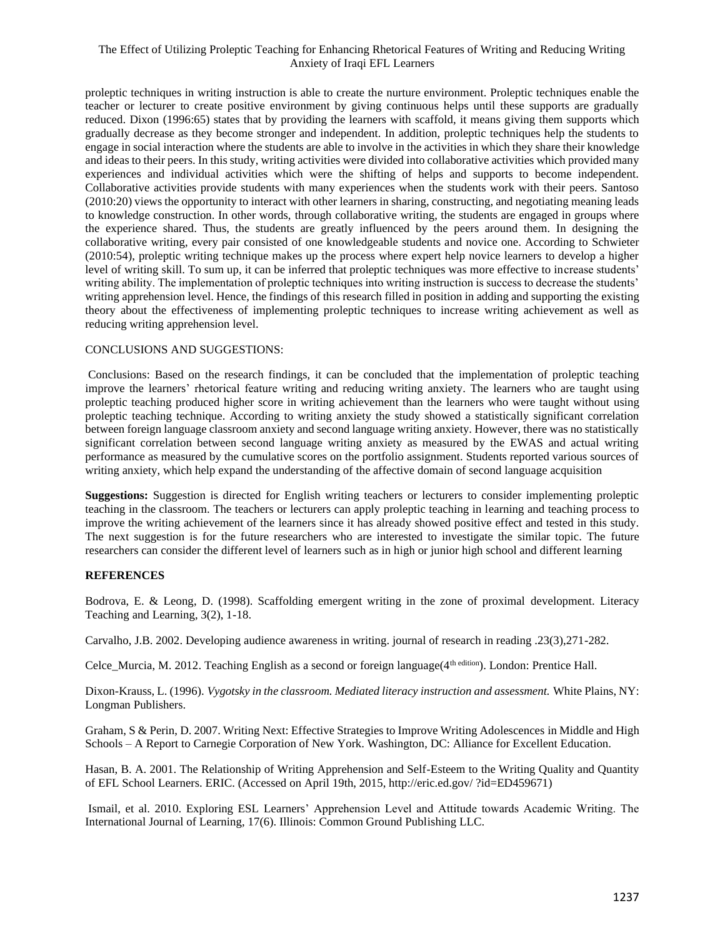# The Effect of Utilizing Proleptic Teaching for Enhancing Rhetorical Features of Writing and Reducing Writing Anxiety of Iraqi EFL Learners

proleptic techniques in writing instruction is able to create the nurture environment. Proleptic techniques enable the teacher or lecturer to create positive environment by giving continuous helps until these supports are gradually reduced. Dixon (1996:65) states that by providing the learners with scaffold, it means giving them supports which gradually decrease as they become stronger and independent. In addition, proleptic techniques help the students to engage in social interaction where the students are able to involve in the activities in which they share their knowledge and ideas to their peers. In this study, writing activities were divided into collaborative activities which provided many experiences and individual activities which were the shifting of helps and supports to become independent. Collaborative activities provide students with many experiences when the students work with their peers. Santoso (2010:20) views the opportunity to interact with other learners in sharing, constructing, and negotiating meaning leads to knowledge construction. In other words, through collaborative writing, the students are engaged in groups where the experience shared. Thus, the students are greatly influenced by the peers around them. In designing the collaborative writing, every pair consisted of one knowledgeable students and novice one. According to Schwieter (2010:54), proleptic writing technique makes up the process where expert help novice learners to develop a higher level of writing skill. To sum up, it can be inferred that proleptic techniques was more effective to increase students' writing ability. The implementation of proleptic techniques into writing instruction is success to decrease the students' writing apprehension level. Hence, the findings of this research filled in position in adding and supporting the existing theory about the effectiveness of implementing proleptic techniques to increase writing achievement as well as reducing writing apprehension level.

### CONCLUSIONS AND SUGGESTIONS:

Conclusions: Based on the research findings, it can be concluded that the implementation of proleptic teaching improve the learners' rhetorical feature writing and reducing writing anxiety. The learners who are taught using proleptic teaching produced higher score in writing achievement than the learners who were taught without using proleptic teaching technique. According to writing anxiety the study showed a statistically significant correlation between foreign language classroom anxiety and second language writing anxiety. However, there was no statistically significant correlation between second language writing anxiety as measured by the EWAS and actual writing performance as measured by the cumulative scores on the portfolio assignment. Students reported various sources of writing anxiety, which help expand the understanding of the affective domain of second language acquisition

**Suggestions:** Suggestion is directed for English writing teachers or lecturers to consider implementing proleptic teaching in the classroom. The teachers or lecturers can apply proleptic teaching in learning and teaching process to improve the writing achievement of the learners since it has already showed positive effect and tested in this study. The next suggestion is for the future researchers who are interested to investigate the similar topic. The future researchers can consider the different level of learners such as in high or junior high school and different learning

## **REFERENCES**

Bodrova, E. & Leong, D. (1998). Scaffolding emergent writing in the zone of proximal development. Literacy Teaching and Learning, 3(2), 1-18.

Carvalho, J.B. 2002. Developing audience awareness in writing. journal of research in reading .23(3),271-282.

Celce\_Murcia, M. 2012. Teaching English as a second or foreign language(4<sup>th edition</sup>). London: Prentice Hall.

Dixon-Krauss, L. (1996). *Vygotsky in the classroom. Mediated literacy instruction and assessment.* White Plains, NY: Longman Publishers.

Graham, S & Perin, D. 2007. Writing Next: Effective Strategies to Improve Writing Adolescences in Middle and High Schools – A Report to Carnegie Corporation of New York. Washington, DC: Alliance for Excellent Education.

Hasan, B. A. 2001. The Relationship of Writing Apprehension and Self-Esteem to the Writing Quality and Quantity of EFL School Learners. ERIC. (Accessed on April 19th, 2015, http://eric.ed.gov/ ?id=ED459671)

Ismail, et al. 2010. Exploring ESL Learners' Apprehension Level and Attitude towards Academic Writing. The International Journal of Learning, 17(6). Illinois: Common Ground Publishing LLC.